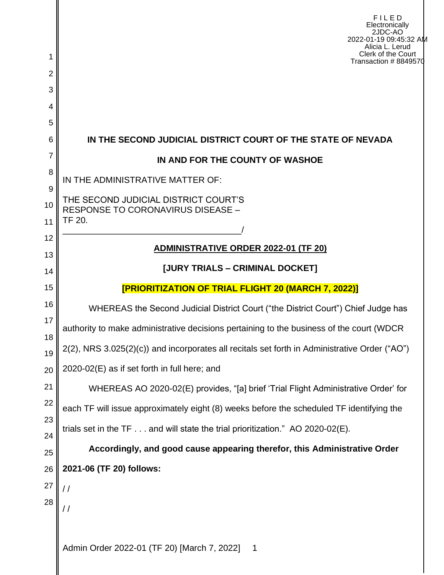| 1        | FILED<br>Electronically<br>2JDC-AO<br>2022-01-19 09:45:32 AM<br>Alicia L. Lerud<br>Clerk of the Court<br>Transaction #8849570 |  |  |  |  |  |
|----------|-------------------------------------------------------------------------------------------------------------------------------|--|--|--|--|--|
| 2        |                                                                                                                               |  |  |  |  |  |
| 3        |                                                                                                                               |  |  |  |  |  |
| 4<br>5   |                                                                                                                               |  |  |  |  |  |
| 6        | IN THE SECOND JUDICIAL DISTRICT COURT OF THE STATE OF NEVADA                                                                  |  |  |  |  |  |
| 7        | IN AND FOR THE COUNTY OF WASHOE                                                                                               |  |  |  |  |  |
| 8        | IN THE ADMINISTRATIVE MATTER OF:                                                                                              |  |  |  |  |  |
| 9        |                                                                                                                               |  |  |  |  |  |
| 10       | THE SECOND JUDICIAL DISTRICT COURT'S<br><b>RESPONSE TO CORONAVIRUS DISEASE -</b>                                              |  |  |  |  |  |
| 11       | TF 20.                                                                                                                        |  |  |  |  |  |
| 12<br>13 | <b>ADMINISTRATIVE ORDER 2022-01 (TF 20)</b>                                                                                   |  |  |  |  |  |
| 14       | [JURY TRIALS - CRIMINAL DOCKET]                                                                                               |  |  |  |  |  |
| 15       | [PRIORITIZATION OF TRIAL FLIGHT 20 (MARCH 7, 2022)]                                                                           |  |  |  |  |  |
| 16       | WHEREAS the Second Judicial District Court ("the District Court") Chief Judge has                                             |  |  |  |  |  |
| 17       | authority to make administrative decisions pertaining to the business of the court (WDCR                                      |  |  |  |  |  |
| 18<br>19 | 2(2), NRS 3.025(2)(c)) and incorporates all recitals set forth in Administrative Order ("AO")                                 |  |  |  |  |  |
| 20       | 2020-02(E) as if set forth in full here; and                                                                                  |  |  |  |  |  |
| 21       | WHEREAS AO 2020-02(E) provides, "[a] brief 'Trial Flight Administrative Order' for                                            |  |  |  |  |  |
| 22       | each TF will issue approximately eight (8) weeks before the scheduled TF identifying the                                      |  |  |  |  |  |
| 23       | trials set in the TF and will state the trial prioritization." AO 2020-02(E).                                                 |  |  |  |  |  |
| 24<br>25 | Accordingly, and good cause appearing therefor, this Administrative Order                                                     |  |  |  |  |  |
| 26       | 2021-06 (TF 20) follows:                                                                                                      |  |  |  |  |  |
| 27       |                                                                                                                               |  |  |  |  |  |
| 28       | / /                                                                                                                           |  |  |  |  |  |
|          |                                                                                                                               |  |  |  |  |  |
|          | Admin Order 2022-01 (TF 20) [March 7, 2022]<br>$\mathbf 1$                                                                    |  |  |  |  |  |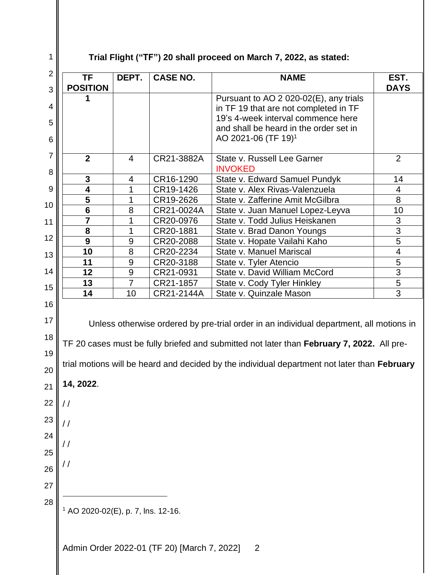## **Trial Flight ("TF") 20 shall proceed on March 7, 2022, as stated:**

| $\overline{2}$<br>3                                                  | <b>TF</b><br><b>POSITION</b>                  | DEPT.          | <b>CASE NO.</b>                             | <b>NAME</b>                                                                                                                                                                                                                                                                          | EST.<br><b>DAYS</b>     |
|----------------------------------------------------------------------|-----------------------------------------------|----------------|---------------------------------------------|--------------------------------------------------------------------------------------------------------------------------------------------------------------------------------------------------------------------------------------------------------------------------------------|-------------------------|
|                                                                      | 1                                             |                |                                             | Pursuant to AO 2 020-02(E), any trials                                                                                                                                                                                                                                               |                         |
| 4                                                                    |                                               |                |                                             | in TF 19 that are not completed in TF                                                                                                                                                                                                                                                |                         |
| 5                                                                    |                                               |                |                                             | 19's 4-week interval commence here                                                                                                                                                                                                                                                   |                         |
| 6                                                                    |                                               |                |                                             | and shall be heard in the order set in<br>AO 2021-06 (TF 19) <sup>1</sup>                                                                                                                                                                                                            |                         |
|                                                                      |                                               |                |                                             |                                                                                                                                                                                                                                                                                      |                         |
| 7                                                                    | $\overline{2}$                                | 4              | CR21-3882A                                  | State v. Russell Lee Garner<br><b>INVOKED</b>                                                                                                                                                                                                                                        | $\overline{2}$          |
| 8                                                                    | $\mathbf{3}$                                  | $\overline{4}$ | CR16-1290                                   | State v. Edward Samuel Pundyk                                                                                                                                                                                                                                                        | 14                      |
| 9                                                                    | 4                                             | 1              | CR19-1426                                   | State v. Alex Rivas-Valenzuela                                                                                                                                                                                                                                                       | 4                       |
| 10                                                                   | 5                                             | 1              | CR19-2626                                   | State v. Zafferine Amit McGilbra                                                                                                                                                                                                                                                     | 8                       |
|                                                                      | $6\phantom{1}6$                               | 8              | CR21-0024A                                  | State v. Juan Manuel Lopez-Leyva                                                                                                                                                                                                                                                     | 10                      |
| 11                                                                   | $\overline{7}$                                | 1              | CR20-0976                                   | State v. Todd Julius Heiskanen                                                                                                                                                                                                                                                       | 3                       |
|                                                                      | 8                                             | 1              | CR20-1881                                   | State v. Brad Danon Youngs                                                                                                                                                                                                                                                           | 3                       |
| 12                                                                   | 9                                             | 9              | CR20-2088                                   | State v. Hopate Vailahi Kaho                                                                                                                                                                                                                                                         | 5                       |
| 13                                                                   | 10                                            | 8              | CR20-2234                                   | State v. Manuel Mariscal                                                                                                                                                                                                                                                             | $\overline{\mathbf{4}}$ |
|                                                                      | 11                                            | 9              | CR20-3188                                   | State v. Tyler Atencio                                                                                                                                                                                                                                                               | 5                       |
| 14                                                                   | 12                                            | 9              | CR21-0931                                   | State v. David William McCord                                                                                                                                                                                                                                                        | 3                       |
| 15                                                                   | 13                                            | $\overline{7}$ | CR21-1857                                   | State v. Cody Tyler Hinkley                                                                                                                                                                                                                                                          | 5                       |
|                                                                      | 14                                            | 10             | CR21-2144A                                  | State v. Quinzale Mason                                                                                                                                                                                                                                                              | 3                       |
| 17<br>18<br>19<br>20<br>21<br>22<br>23<br>24<br>25<br>26<br>27<br>28 | 14, 2022.<br>/ /                              |                |                                             | Unless otherwise ordered by pre-trial order in an individual department, all motions in<br>TF 20 cases must be fully briefed and submitted not later than February 7, 2022. All pre-<br>trial motions will be heard and decided by the individual department not later than February |                         |
|                                                                      | <sup>1</sup> AO 2020-02(E), p. 7, lns. 12-16. |                | Admin Order 2022-01 (TF 20) [March 7, 2022] | $\overline{2}$                                                                                                                                                                                                                                                                       |                         |